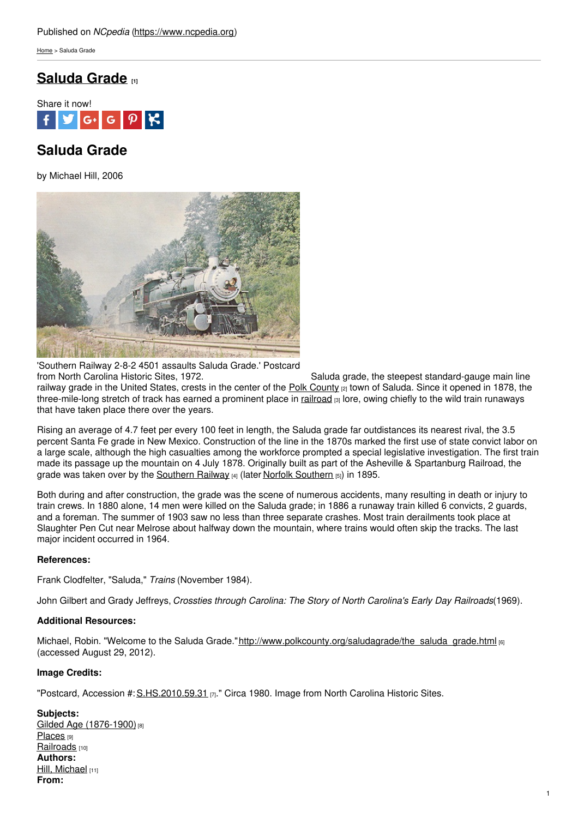[Home](https://www.ncpedia.org/) > Saluda Grade

## **[Saluda](https://www.ncpedia.org/saluda-grade) Grade [1]**



# **Saluda Grade**

by Michael Hill, 2006



'Southern Railway 2-8-2 4501 assaults Saluda Grade.' Postcard Saluda grade, the steepest standard-gauge main line railway grade in the United States, crests in the center of the Polk [County](https://www.ncpedia.org/geography/polk) [2] town of Saluda. Since it opened in 1878, the three-mile-long stretch of track has earned a prominent place in  $r_1$  [railroad](https://www.ncpedia.org/railroads)  $\left| \right|$  ore, owing chiefly to the wild train runaways that have taken place there over the years.

Rising an average of 4.7 feet per every 100 feet in length, the Saluda grade far outdistances its nearest rival, the 3.5 percent Santa Fe grade in New Mexico. Construction of the line in the 1870s marked the first use of state convict labor on a large scale, although the high casualties among the workforce prompted a special legislative investigation. The first train made its passage up the mountain on 4 July 1878. Originally built as part of the Asheville & Spartanburg Railroad, the grade was taken over by the [Southern](https://www.ncpedia.org/norfolk-southern-railroad) Railway  $\frac{4}{14}$  (later Norfolk Southern  $\frac{5}{15}$ ) in 1895.

Both during and after construction, the grade was the scene of numerous accidents, many resulting in death or injury to train crews. In 1880 alone, 14 men were killed on the Saluda grade; in 1886 a runaway train killed 6 convicts, 2 guards, and a foreman. The summer of 1903 saw no less than three separate crashes. Most train derailments took place at Slaughter Pen Cut near Melrose about halfway down the mountain, where trains would often skip the tracks. The last major incident occurred in 1964.

### **References:**

Frank Clodfelter, "Saluda," *Trains* (November 1984).

John Gilbert and Grady Jeffreys, *Crossties through Carolina: The Story of North Carolina's Early Day Railroads*(1969).

### **Additional Resources:**

Michael, Robin. "Welcome to the Saluda Grade."[http://www.polkcounty.org/saludagrade/the\\_saluda\\_grade.html](http://www.polkcounty.org/saludagrade/the_saluda_grade.html) [6] (accessed August 29, 2012).

### **Image Credits:**

"Postcard, Accession #:  $S.HS.2010.59.31$  [7]." Circa 1980. Image from North Carolina Historic Sites.

**Subjects:** Gilded Age [\(1876-1900\)](https://www.ncpedia.org/category/subjects/gilded-age-1876-1)<sup>[8]</sup> [Places](https://www.ncpedia.org/category/subjects/places) [9] [Railroads](https://www.ncpedia.org/category/subjects/railroads) [10] **Authors:** Hill, [Michael](https://www.ncpedia.org/category/authors/hill-michael) [11] **From:**